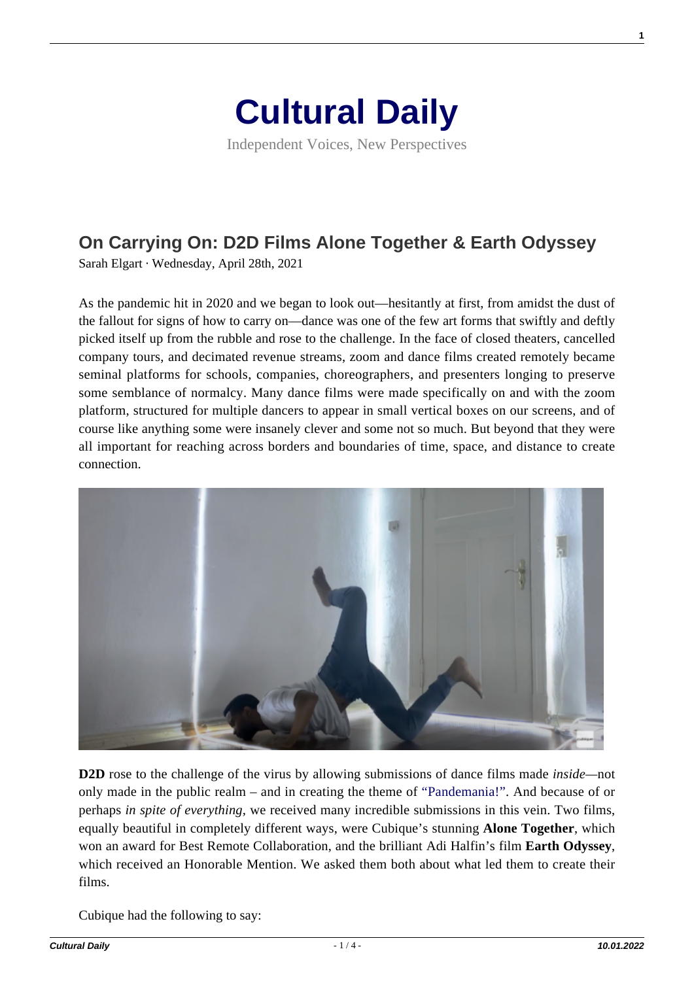

Independent Voices, New Perspectives

## **[On Carrying On: D2D Films Alone Together & Earth Odyssey](https://culturaldaily.com/on-carrying-on-d2d-films-alone-together-earth-odyssey/)**

Sarah Elgart · Wednesday, April 28th, 2021

As the pandemic hit in 2020 and we began to look out—hesitantly at first, from amidst the dust of the fallout for signs of how to carry on—dance was one of the few art forms that swiftly and deftly picked itself up from the rubble and rose to the challenge. In the face of closed theaters, cancelled company tours, and decimated revenue streams, zoom and dance films created remotely became seminal platforms for schools, companies, choreographers, and presenters longing to preserve some semblance of normalcy. Many dance films were made specifically on and with the zoom platform, structured for multiple dancers to appear in small vertical boxes on our screens, and of course like anything some were insanely clever and some not so much. But beyond that they were all important for reaching across borders and boundaries of time, space, and distance to create connection.



**D2D** rose to the challenge of the virus by allowing submissions of dance films made *inside—*not only made in the public realm – and in creating the theme of ["Pandemania!".](https://www.daretodanceinpublic.com/d2d-round-4) And because of or perhaps *in spite of everything,* we received many incredible submissions in this vein. Two films, equally beautiful in completely different ways, were Cubique's stunning **Alone Together**, which won an award for Best Remote Collaboration, and the brilliant Adi Halfin's film **Earth Odyssey**, which received an Honorable Mention. We asked them both about what led them to create their films.

Cubique had the following to say:

**1**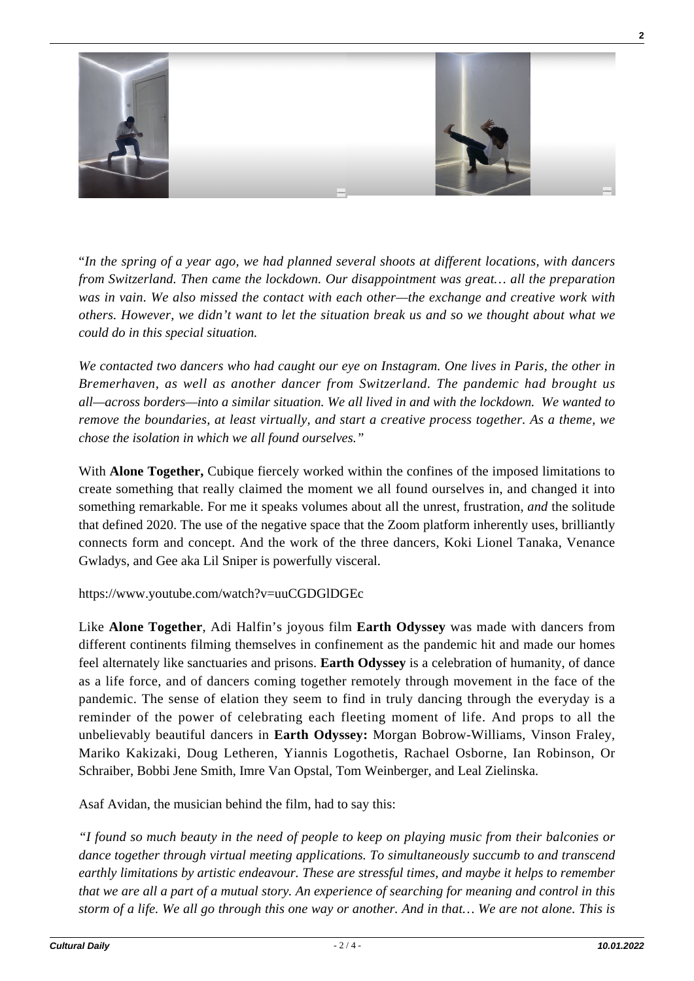

"*In the spring of a year ago, we had planned several shoots at different locations, with dancers from Switzerland. Then came the lockdown. Our disappointment was great… all the preparation was in vain. We also missed the contact with each other—the exchange and creative work with others. However, we didn't want to let the situation break us and so we thought about what we could do in this special situation.* 

*We contacted two dancers who had caught our eye on Instagram. One lives in Paris, the other in Bremerhaven, as well as another dancer from Switzerland. The pandemic had brought us all—across borders—into a similar situation. We all lived in and with the lockdown. We wanted to remove the boundaries, at least virtually, and start a creative process together. As a theme, we chose the isolation in which we all found ourselves."*

With **Alone Together,** Cubique fiercely worked within the confines of the imposed limitations to create something that really claimed the moment we all found ourselves in, and changed it into something remarkable. For me it speaks volumes about all the unrest, frustration, *and* the solitude that defined 2020. The use of the negative space that the Zoom platform inherently uses, brilliantly connects form and concept. And the work of the three dancers, Koki Lionel Tanaka, Venance Gwladys, and Gee aka Lil Sniper is powerfully visceral.

https://www.youtube.com/watch?v=uuCGDGlDGEc

Like **Alone Together**, Adi Halfin's joyous film **Earth Odyssey** was made with dancers from different continents filming themselves in confinement as the pandemic hit and made our homes feel alternately like sanctuaries and prisons. **Earth Odyssey** is a celebration of humanity, of dance as a life force, and of dancers coming together remotely through movement in the face of the pandemic. The sense of elation they seem to find in truly dancing through the everyday is a reminder of the power of celebrating each fleeting moment of life. And props to all the unbelievably beautiful dancers in **Earth Odyssey:** Morgan Bobrow-Williams, Vinson Fraley, Mariko Kakizaki, Doug Letheren, Yiannis Logothetis, Rachael Osborne, Ian Robinson, Or Schraiber, Bobbi Jene Smith, Imre Van Opstal, Tom Weinberger, and Leal Zielinska.

Asaf Avidan, the musician behind the film, had to say this:

*"I found so much beauty in the need of people to keep on playing music from their balconies or dance together through virtual meeting applications. To simultaneously succumb to and transcend earthly limitations by artistic endeavour. These are stressful times, and maybe it helps to remember that we are all a part of a mutual story. An experience of searching for meaning and control in this storm of a life. We all go through this one way or another. And in that… We are not alone. This is*

**2**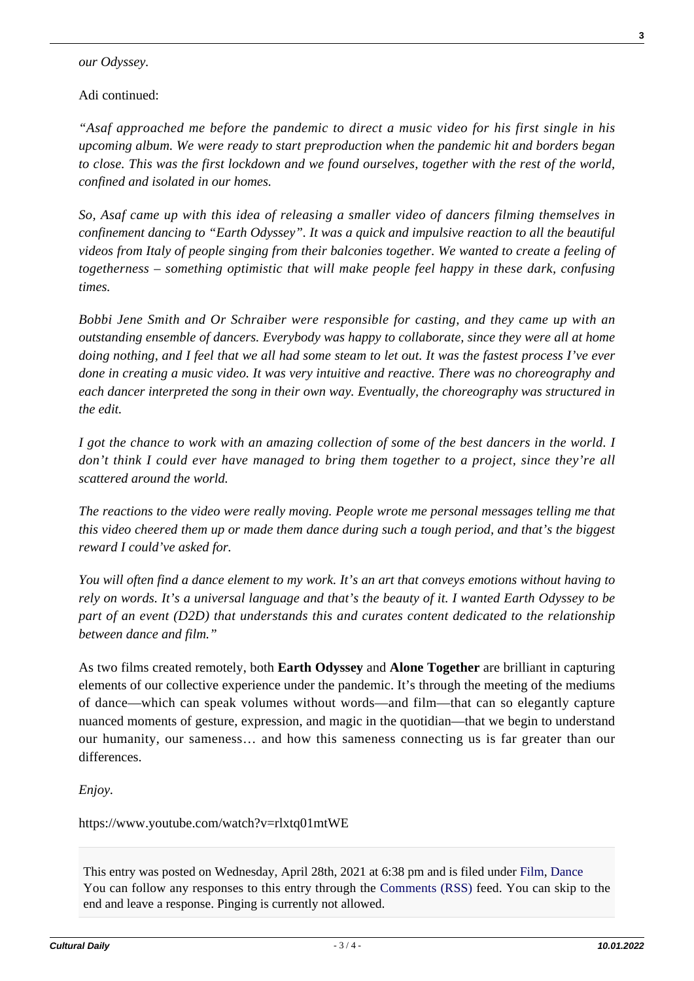## *our Odyssey.*

## Adi continued:

*"Asaf approached me before the pandemic to direct a music video for his first single in his upcoming album. We were ready to start preproduction when the pandemic hit and borders began to close. This was the first lockdown and we found ourselves, together with the rest of the world, confined and isolated in our homes.*

*So, Asaf came up with this idea of releasing a smaller video of dancers filming themselves in confinement dancing to "Earth Odyssey". It was a quick and impulsive reaction to all the beautiful videos from Italy of people singing from their balconies together. We wanted to create a feeling of togetherness – something optimistic that will make people feel happy in these dark, confusing times.*

*Bobbi Jene Smith and Or Schraiber were responsible for casting, and they came up with an outstanding ensemble of dancers. Everybody was happy to collaborate, since they were all at home doing nothing, and I feel that we all had some steam to let out. It was the fastest process I've ever done in creating a music video. It was very intuitive and reactive. There was no choreography and each dancer interpreted the song in their own way. Eventually, the choreography was structured in the edit.*

*I got the chance to work with an amazing collection of some of the best dancers in the world. I don't think I could ever have managed to bring them together to a project, since they're all scattered around the world.*

*The reactions to the video were really moving. People wrote me personal messages telling me that this video cheered them up or made them dance during such a tough period, and that's the biggest reward I could've asked for.*

*You will often find a dance element to my work. It's an art that conveys emotions without having to rely on words. It's a universal language and that's the beauty of it. I wanted Earth Odyssey to be part of an event (D2D) that understands this and curates content dedicated to the relationship between dance and film."*

As two films created remotely, both **Earth Odyssey** and **Alone Together** are brilliant in capturing elements of our collective experience under the pandemic. It's through the meeting of the mediums of dance—which can speak volumes without words—and film—that can so elegantly capture nuanced moments of gesture, expression, and magic in the quotidian—that we begin to understand our humanity, our sameness… and how this sameness connecting us is far greater than our differences.

*Enjoy.*

https://www.youtube.com/watch?v=rlxtq01mtWE

This entry was posted on Wednesday, April 28th, 2021 at 6:38 pm and is filed under [Film,](https://culturaldaily.com/category/media/film-video/) [Dance](https://culturaldaily.com/category/performing/dance/) You can follow any responses to this entry through the [Comments \(RSS\)](https://culturaldaily.com/comments/feed/) feed. You can skip to the end and leave a response. Pinging is currently not allowed.